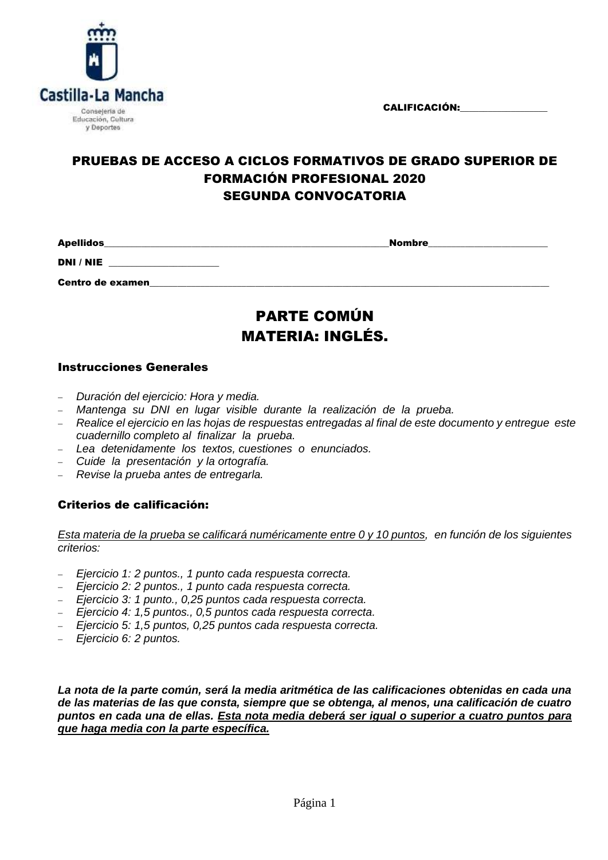CALIFICACIÓN:



## PRUEBAS DE ACCESO A CICLOS FORMATIVOS DE GRADO SUPERIOR DE FORMACIÓN PROFESIONAL 2020 SEGUNDA CONVOCATORIA

Apellidos\_\_\_\_\_\_\_\_\_\_\_\_\_\_\_\_\_\_\_\_\_\_\_\_\_\_\_\_\_\_\_\_\_\_\_\_\_\_\_\_\_\_\_\_\_\_\_\_\_\_\_\_\_\_\_\_\_\_\_\_\_\_Nombre\_\_\_\_\_\_\_\_\_\_\_\_\_\_\_\_\_\_\_\_\_\_\_\_\_\_

DNI / NIE \_\_\_\_\_\_\_\_\_\_\_\_\_\_\_\_\_\_\_\_\_\_\_\_

Centro de examen\_\_\_\_\_\_\_\_\_\_\_\_\_\_\_\_\_\_\_\_\_\_\_\_\_\_\_\_\_\_\_\_\_\_\_\_\_\_\_\_\_\_\_\_\_\_\_\_\_\_\_\_\_\_\_\_\_\_\_\_\_\_\_\_\_\_\_\_\_\_\_\_\_\_\_\_\_\_\_\_\_\_\_\_\_\_\_

# PARTE COMÚN MATERIA: INGLÉS.

### Instrucciones Generales

- *Duración del ejercicio: Hora y media.*
- *Mantenga su DNI en lugar visible durante la realización de la prueba.*
- *Realice el ejercicio en las hojas de respuestas entregadas al final de este documento y entregue este cuadernillo completo al finalizar la prueba.*
- *Lea detenidamente los textos, cuestiones o enunciados.*
- *Cuide la presentación y la ortografía.*
- *Revise la prueba antes de entregarla.*

### Criterios de calificación:

*Esta materia de la prueba se calificará numéricamente entre 0 y 10 puntos, en función de los siguientes criterios:*

- *Ejercicio 1: 2 puntos., 1 punto cada respuesta correcta.*
- *Ejercicio 2: 2 puntos., 1 punto cada respuesta correcta.*
- *Ejercicio 3: 1 punto., 0,25 puntos cada respuesta correcta.*
- *Ejercicio 4: 1,5 puntos., 0,5 puntos cada respuesta correcta.*
- *Ejercicio 5: 1,5 puntos, 0,25 puntos cada respuesta correcta.*
- *Ejercicio 6: 2 puntos.*

*La nota de la parte común, será la media aritmética de las calificaciones obtenidas en cada una de las materias de las que consta, siempre que se obtenga, al menos, una calificación de cuatro puntos en cada una de ellas. Esta nota media deberá ser igual o superior a cuatro puntos para que haga media con la parte específica.*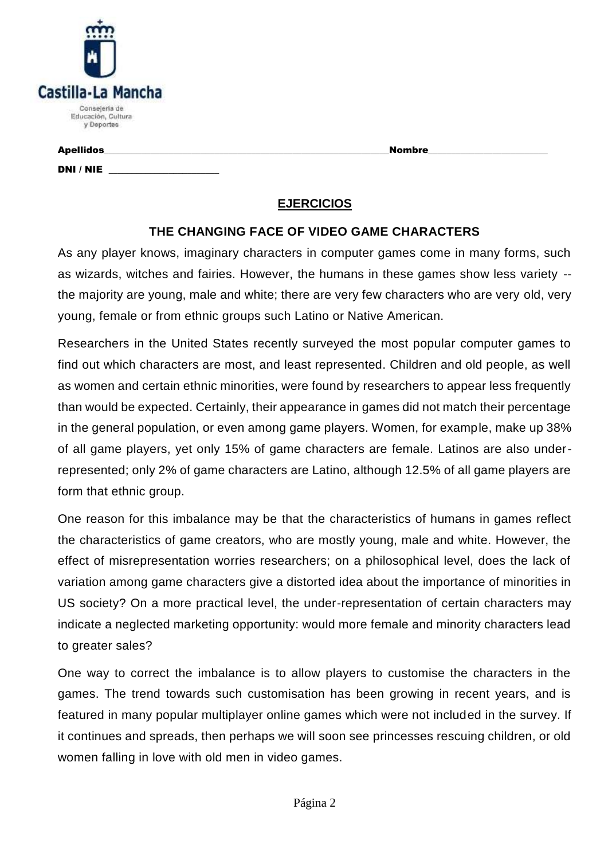| Castilla-La Mancha                                |
|---------------------------------------------------|
| Consejería de<br>Educación, Cultura<br>y Deportes |

### Apellidos\_\_\_\_\_\_\_\_\_\_\_\_\_\_\_\_\_\_\_\_\_\_\_\_\_\_\_\_\_\_\_\_\_\_\_\_\_\_\_\_\_\_\_\_\_\_\_\_\_\_\_\_\_\_\_\_\_\_\_\_\_\_Nombre\_\_\_\_\_\_\_\_\_\_\_\_\_\_\_\_\_\_\_\_\_\_\_\_\_\_

DNI / NIE

# **EJERCICIOS**

### **THE CHANGING FACE OF VIDEO GAME CHARACTERS**

As any player knows, imaginary characters in computer games come in many forms, such as wizards, witches and fairies. However, the humans in these games show less variety - the majority are young, male and white; there are very few characters who are very old, very young, female or from ethnic groups such Latino or Native American.

Researchers in the United States recently surveyed the most popular computer games to find out which characters are most, and least represented. Children and old people, as well as women and certain ethnic minorities, were found by researchers to appear less frequently than would be expected. Certainly, their appearance in games did not match their percentage in the general population, or even among game players. Women, for example, make up 38% of all game players, yet only 15% of game characters are female. Latinos are also underrepresented; only 2% of game characters are Latino, although 12.5% of all game players are form that ethnic group.

One reason for this imbalance may be that the characteristics of humans in games reflect the characteristics of game creators, who are mostly young, male and white. However, the effect of misrepresentation worries researchers; on a philosophical level, does the lack of variation among game characters give a distorted idea about the importance of minorities in US society? On a more practical level, the under-representation of certain characters may indicate a neglected marketing opportunity: would more female and minority characters lead to greater sales?

One way to correct the imbalance is to allow players to customise the characters in the games. The trend towards such customisation has been growing in recent years, and is featured in many popular multiplayer online games which were not included in the survey. If it continues and spreads, then perhaps we will soon see princesses rescuing children, or old women falling in love with old men in video games.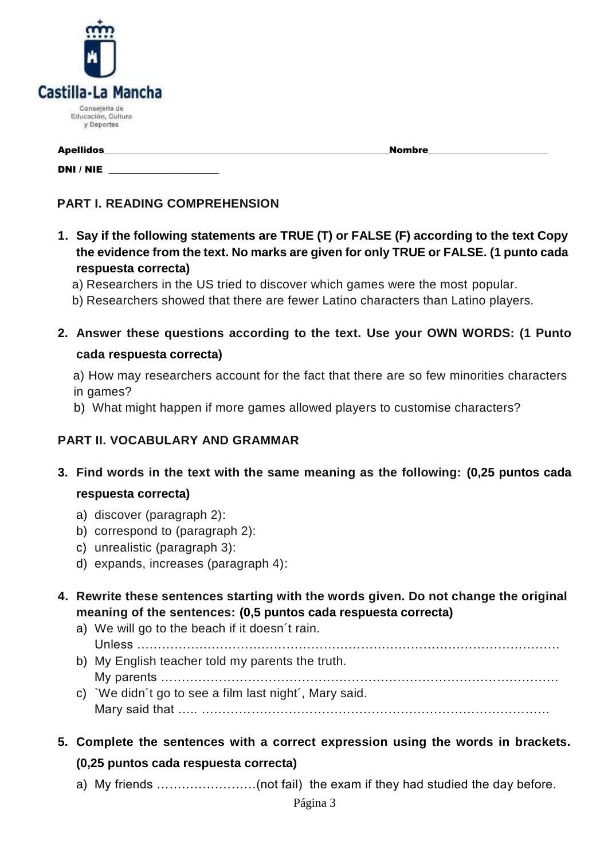

DNI / NIE \_\_\_\_\_\_\_\_\_\_\_\_\_\_\_\_\_\_\_\_\_\_\_\_

Apellidos\_\_\_\_\_\_\_\_\_\_\_\_\_\_\_\_\_\_\_\_\_\_\_\_\_\_\_\_\_\_\_\_\_\_\_\_\_\_\_\_\_\_\_\_\_\_\_\_\_\_\_\_\_\_\_\_\_\_\_\_\_\_Nombre\_\_\_\_\_\_\_\_\_\_\_\_\_\_\_\_\_\_\_\_\_\_\_\_\_\_

## **PART I. READING COMPREHENSION**

- **1. Say if the following statements are TRUE (T) or FALSE (F) according to the text Copy the evidence from the text. No marks are given for only TRUE or FALSE. (1 punto cada respuesta correcta)**
	- a) Researchers in the US tried to discover which games were the most popular.
	- b) Researchers showed that there are fewer Latino characters than Latino players.
- **2. Answer these questions according to the text. Use your OWN WORDS: (1 Punto cada respuesta correcta)**
	- a) How may researchers account for the fact that there are so few minorities characters in games?
	- b) What might happen if more games allowed players to customise characters?

### **PART II. VOCABULARY AND GRAMMAR**

- **3. Find words in the text with the same meaning as the following: (0,25 puntos cada respuesta correcta)**
	- a) discover (paragraph 2):
	- b) correspond to (paragraph 2):
	- c) unrealistic (paragraph 3):
	- d) expands, increases (paragraph 4):
- **4. Rewrite these sentences starting with the words given. Do not change the original meaning of the sentences: (0,5 puntos cada respuesta correcta)**
	- a) We will go to the beach if it doesn´t rain.
	- Unless ………………………………………………………………………………………… b) My English teacher told my parents the truth.
	- My parents …………………………………………………………………………………… c) `We didn´t go to see a film last night´, Mary said. Mary said that ….. …………………………………………………………………………
- **5. Complete the sentences with a correct expression using the words in brackets.**

### **(0,25 puntos cada respuesta correcta)**

a) My friends ……………………(not fail) the exam if they had studied the day before.